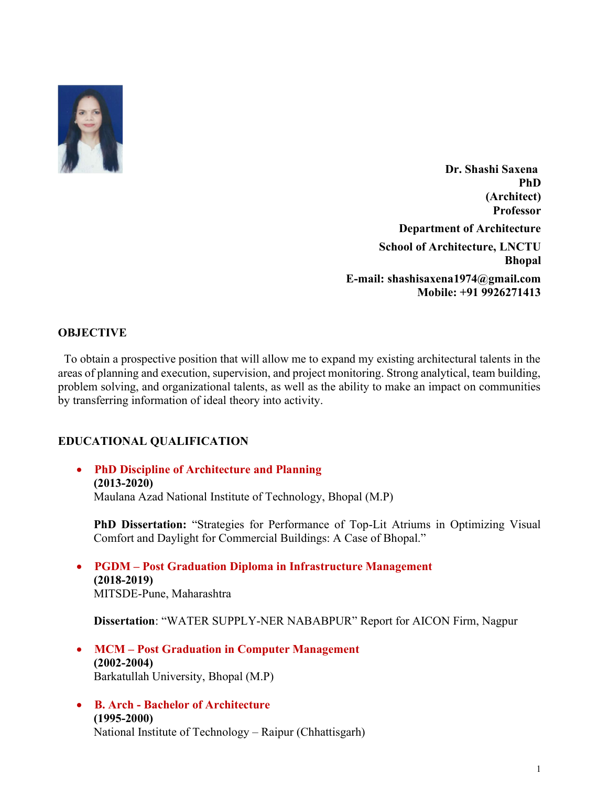

 Dr. Shashi Saxena PhD (Architect) Professor Department of Architecture School of Architecture, LNCTU Bhopal E‐mail: shashisaxena1974@gmail.com Mobile: +91 9926271413

#### **OBJECTIVE**

 To obtain a prospective position that will allow me to expand my existing architectural talents in the areas of planning and execution, supervision, and project monitoring. Strong analytical, team building, problem solving, and organizational talents, as well as the ability to make an impact on communities by transferring information of ideal theory into activity.

### EDUCATIONAL QUALIFICATION

#### • PhD Discipline of Architecture and Planning (2013-2020) Maulana Azad National Institute of Technology, Bhopal (M.P)

PhD Dissertation: "Strategies for Performance of Top-Lit Atriums in Optimizing Visual Comfort and Daylight for Commercial Buildings: A Case of Bhopal."

# PGDM – Post Graduation Diploma in Infrastructure Management (2018-2019) MITSDE-Pune, Maharashtra

Dissertation: "WATER SUPPLY-NER NABABPUR" Report for AICON Firm, Nagpur

- MCM Post Graduation in Computer Management (2002-2004) Barkatullah University, Bhopal (M.P)
- B. Arch ‐ Bachelor of Architecture  $(1995 - 2000)$ National Institute of Technology – Raipur (Chhattisgarh)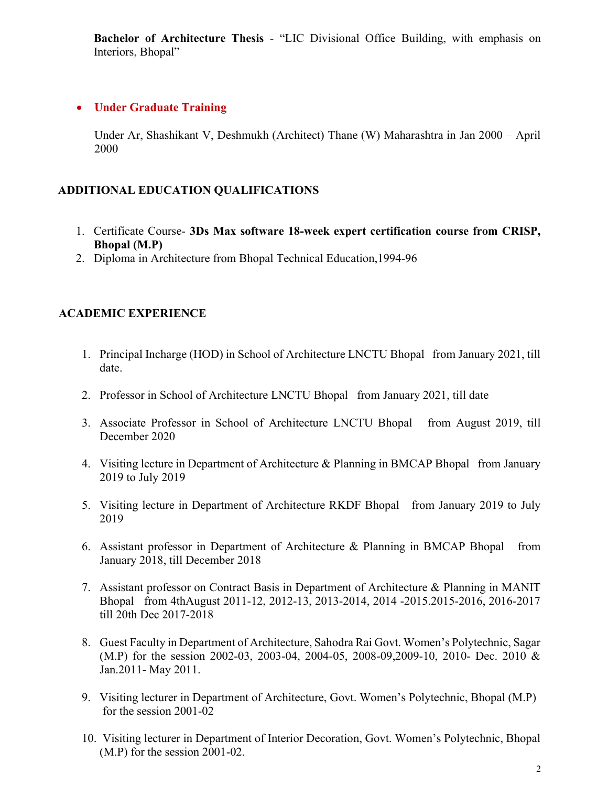Bachelor of Architecture Thesis ‐ "LIC Divisional Office Building, with emphasis on Interiors, Bhopal"

#### Under Graduate Training

Under Ar, Shashikant V, Deshmukh (Architect) Thane (W) Maharashtra in Jan 2000 – April 2000

#### ADDITIONAL EDUCATION QUALIFICATIONS

- 1. Certificate Course- 3Ds Max software 18-week expert certification course from CRISP, Bhopal (M.P)
- 2. Diploma in Architecture from Bhopal Technical Education,1994-96

### ACADEMIC EXPERIENCE

- 1. Principal Incharge (HOD) in School of Architecture LNCTU Bhopal from January 2021, till date.
- 2. Professor in School of Architecture LNCTU Bhopal from January 2021, till date
- 3. Associate Professor in School of Architecture LNCTU Bhopal from August 2019, till December 2020
- 4. Visiting lecture in Department of Architecture & Planning in BMCAP Bhopal from January 2019 to July 2019
- 5. Visiting lecture in Department of Architecture RKDF Bhopal from January 2019 to July 2019
- 6. Assistant professor in Department of Architecture & Planning in BMCAP Bhopal from January 2018, till December 2018
- 7. Assistant professor on Contract Basis in Department of Architecture & Planning in MANIT Bhopal from 4thAugust 2011-12, 2012-13, 2013-2014, 2014 -2015.2015-2016, 2016-2017 till 20th Dec 2017-2018
- 8. Guest Faculty in Department of Architecture, Sahodra Rai Govt. Women's Polytechnic, Sagar (M.P) for the session 2002-03, 2003-04, 2004-05, 2008-09,2009-10, 2010- Dec. 2010 & Jan.2011- May 2011.
- 9. Visiting lecturer in Department of Architecture, Govt. Women's Polytechnic, Bhopal (M.P) for the session 2001-02
- 10. Visiting lecturer in Department of Interior Decoration, Govt. Women's Polytechnic, Bhopal (M.P) for the session 2001-02.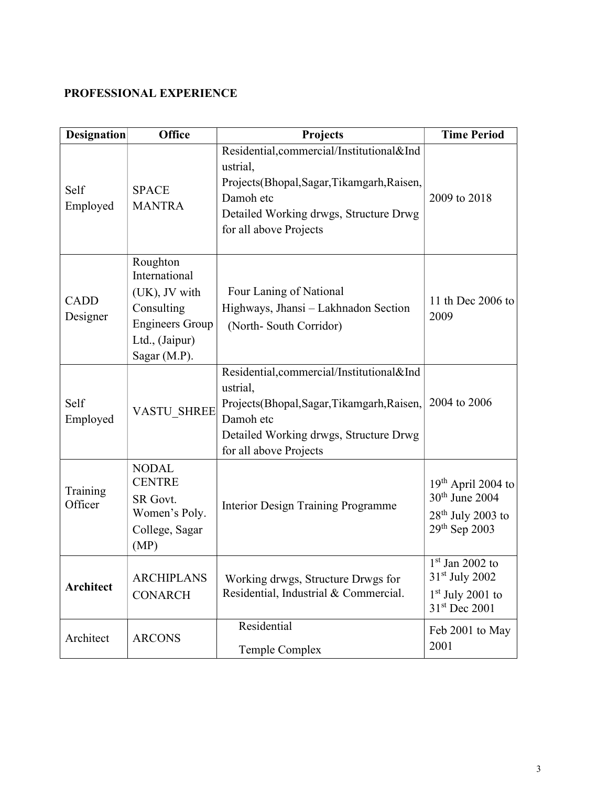# PROFESSIONAL EXPERIENCE

| <b>Designation</b>      | <b>Office</b>                                                                                                        | Projects                                                                                                                                                                             | <b>Time Period</b>                                                                         |
|-------------------------|----------------------------------------------------------------------------------------------------------------------|--------------------------------------------------------------------------------------------------------------------------------------------------------------------------------------|--------------------------------------------------------------------------------------------|
| Self<br>Employed        | <b>SPACE</b><br><b>MANTRA</b>                                                                                        | Residential, commercial/Institutional&Ind<br>ustrial,<br>Projects(Bhopal, Sagar, Tikamgarh, Raisen,<br>Damoh etc<br>Detailed Working drwgs, Structure Drwg<br>for all above Projects | 2009 to 2018                                                                               |
| <b>CADD</b><br>Designer | Roughton<br>International<br>(UK), JV with<br>Consulting<br><b>Engineers Group</b><br>Ltd., (Jaipur)<br>Sagar (M.P). | Four Laning of National<br>Highways, Jhansi - Lakhnadon Section<br>(North-South Corridor)                                                                                            | 11 th Dec 2006 to<br>2009                                                                  |
| Self<br>Employed        | VASTU_SHREE                                                                                                          | Residential, commercial/Institutional&Ind<br>ustrial,<br>Projects(Bhopal, Sagar, Tikamgarh, Raisen,<br>Damoh etc<br>Detailed Working drwgs, Structure Drwg<br>for all above Projects | 2004 to 2006                                                                               |
| Training<br>Officer     | <b>NODAL</b><br><b>CENTRE</b><br>SR Govt.<br>Women's Poly.<br>College, Sagar<br>(MP)                                 | Interior Design Training Programme                                                                                                                                                   | $19th$ April 2004 to<br>30 <sup>th</sup> June 2004<br>$28th$ July 2003 to<br>29th Sep 2003 |
| <b>Architect</b>        | <b>ARCHIPLANS</b><br><b>CONARCH</b>                                                                                  | Working drwgs, Structure Drwgs for<br>Residential, Industrial & Commercial.                                                                                                          | $1st$ Jan 2002 to<br>$31st$ July 2002<br>$1st$ July 2001 to<br>$31st$ Dec 2001             |
| Architect               | <b>ARCONS</b>                                                                                                        | Residential<br>Temple Complex                                                                                                                                                        | Feb 2001 to May<br>2001                                                                    |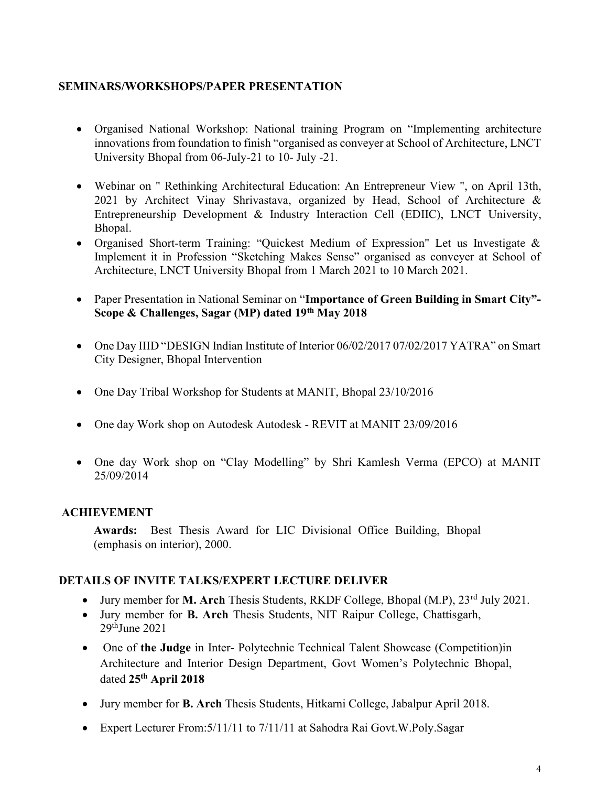#### SEMINARS/WORKSHOPS/PAPER PRESENTATION

- Organised National Workshop: National training Program on "Implementing architecture innovations from foundation to finish "organised as conveyer at School of Architecture, LNCT University Bhopal from 06-July-21 to 10- July -21.
- Webinar on " Rethinking Architectural Education: An Entrepreneur View ", on April 13th, 2021 by Architect Vinay Shrivastava, organized by Head, School of Architecture & Entrepreneurship Development & Industry Interaction Cell (EDIIC), LNCT University, Bhopal.
- Organised Short-term Training: "Quickest Medium of Expression" Let us Investigate & Implement it in Profession "Sketching Makes Sense" organised as conveyer at School of Architecture, LNCT University Bhopal from 1 March 2021 to 10 March 2021.
- Paper Presentation in National Seminar on "Importance of Green Building in Smart City"-Scope & Challenges, Sagar (MP) dated 19th May 2018
- One Day IIID "DESIGN Indian Institute of Interior 06/02/2017 07/02/2017 YATRA" on Smart City Designer, Bhopal Intervention
- One Day Tribal Workshop for Students at MANIT, Bhopal 23/10/2016
- One day Work shop on Autodesk Autodesk REVIT at MANIT 23/09/2016
- One day Work shop on "Clay Modelling" by Shri Kamlesh Verma (EPCO) at MANIT 25/09/2014

#### ACHIEVEMENT

Awards: Best Thesis Award for LIC Divisional Office Building, Bhopal (emphasis on interior), 2000.

### DETAILS OF INVITE TALKS/EXPERT LECTURE DELIVER

- Jury member for M. Arch Thesis Students, RKDF College, Bhopal (M.P), 23<sup>rd</sup> July 2021.
- Jury member for B. Arch Thesis Students, NIT Raipur College, Chattisgarh, 29thJune 2021
- One of the Judge in Inter-Polytechnic Technical Talent Showcase (Competition)in Architecture and Interior Design Department, Govt Women's Polytechnic Bhopal, dated 25th April 2018
- Jury member for B. Arch Thesis Students, Hitkarni College, Jabalpur April 2018.
- Expert Lecturer From: 5/11/11 to 7/11/11 at Sahodra Rai Govt. W. Poly. Sagar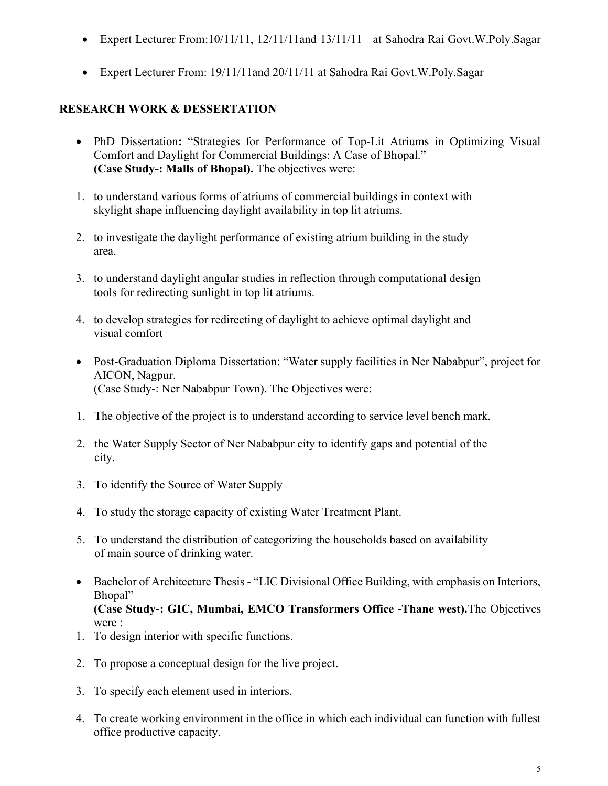- Expert Lecturer From:10/11/11, 12/11/11and 13/11/11 at Sahodra Rai Govt.W.Poly.Sagar
- Expert Lecturer From: 19/11/11and 20/11/11 at Sahodra Rai Govt.W.Poly.Sagar

# RESEARCH WORK & DESSERTATION

- PhD Dissertation: "Strategies for Performance of Top-Lit Atriums in Optimizing Visual Comfort and Daylight for Commercial Buildings: A Case of Bhopal." (Case Study‐: Malls of Bhopal). The objectives were:
- 1. to understand various forms of atriums of commercial buildings in context with skylight shape influencing daylight availability in top lit atriums.
- 2. to investigate the daylight performance of existing atrium building in the study area.
- 3. to understand daylight angular studies in reflection through computational design tools for redirecting sunlight in top lit atriums.
- 4. to develop strategies for redirecting of daylight to achieve optimal daylight and visual comfort
- Post-Graduation Diploma Dissertation: "Water supply facilities in Ner Nababpur", project for AICON, Nagpur. (Case Study‐: Ner Nababpur Town). The Objectives were:
- 1. The objective of the project is to understand according to service level bench mark.
- 2. the Water Supply Sector of Ner Nababpur city to identify gaps and potential of the city.
- 3. To identify the Source of Water Supply
- 4. To study the storage capacity of existing Water Treatment Plant.
- 5. To understand the distribution of categorizing the households based on availability of main source of drinking water.
- Bachelor of Architecture Thesis "LIC Divisional Office Building, with emphasis on Interiors, Bhopal"

(Case Study‐: GIC, Mumbai, EMCO Transformers Office -Thane west).The Objectives were :

- 1. To design interior with specific functions.
- 2. To propose a conceptual design for the live project.
- 3. To specify each element used in interiors.
- 4. To create working environment in the office in which each individual can function with fullest office productive capacity.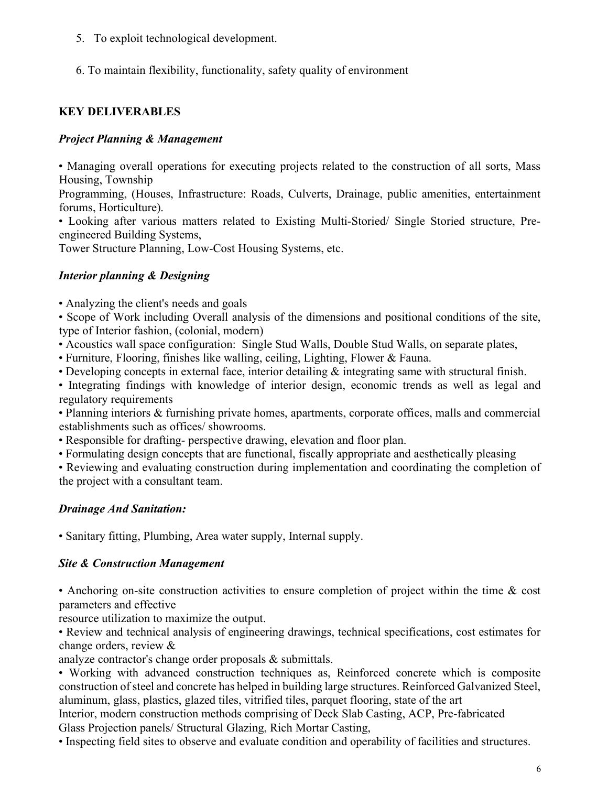- 5. To exploit technological development.
- 6. To maintain flexibility, functionality, safety quality of environment

# KEY DELIVERABLES

### Project Planning & Management

• Managing overall operations for executing projects related to the construction of all sorts, Mass Housing, Township

Programming, (Houses, Infrastructure: Roads, Culverts, Drainage, public amenities, entertainment forums, Horticulture).

• Looking after various matters related to Existing Multi-Storied/ Single Storied structure, Preengineered Building Systems,

Tower Structure Planning, Low-Cost Housing Systems, etc.

### Interior planning & Designing

• Analyzing the client's needs and goals

• Scope of Work including Overall analysis of the dimensions and positional conditions of the site, type of Interior fashion, (colonial, modern)

- Acoustics wall space configuration: Single Stud Walls, Double Stud Walls, on separate plates,
- Furniture, Flooring, finishes like walling, ceiling, Lighting, Flower & Fauna.

• Developing concepts in external face, interior detailing & integrating same with structural finish.

• Integrating findings with knowledge of interior design, economic trends as well as legal and regulatory requirements

• Planning interiors & furnishing private homes, apartments, corporate offices, malls and commercial establishments such as offices/ showrooms.

- Responsible for drafting- perspective drawing, elevation and floor plan.
- Formulating design concepts that are functional, fiscally appropriate and aesthetically pleasing

• Reviewing and evaluating construction during implementation and coordinating the completion of the project with a consultant team.

### Drainage And Sanitation:

• Sanitary fitting, Plumbing, Area water supply, Internal supply.

### Site & Construction Management

• Anchoring on-site construction activities to ensure completion of project within the time & cost parameters and effective

resource utilization to maximize the output.

• Review and technical analysis of engineering drawings, technical specifications, cost estimates for change orders, review &

analyze contractor's change order proposals & submittals.

• Working with advanced construction techniques as, Reinforced concrete which is composite construction of steel and concrete has helped in building large structures. Reinforced Galvanized Steel, aluminum, glass, plastics, glazed tiles, vitrified tiles, parquet flooring, state of the art

Interior, modern construction methods comprising of Deck Slab Casting, ACP, Pre-fabricated Glass Projection panels/ Structural Glazing, Rich Mortar Casting,

• Inspecting field sites to observe and evaluate condition and operability of facilities and structures.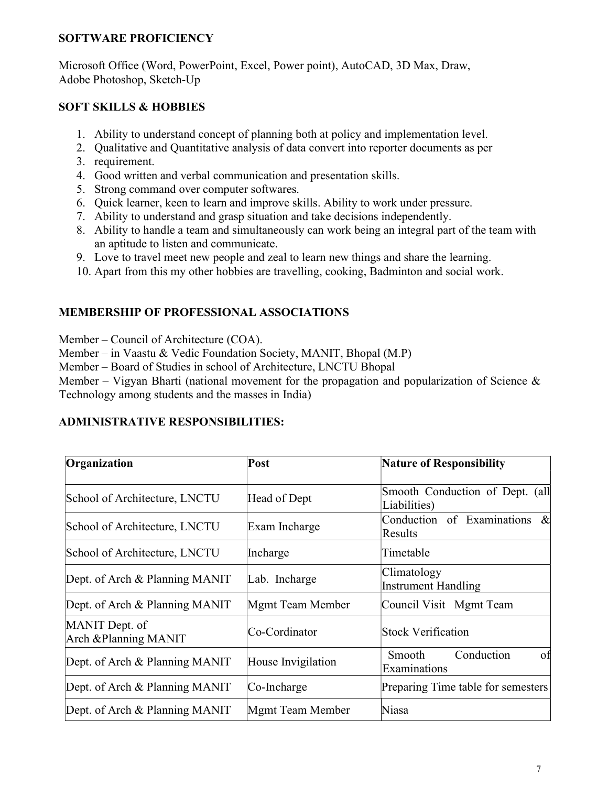### SOFTWARE PROFICIENCY

Microsoft Office (Word, PowerPoint, Excel, Power point), AutoCAD, 3D Max, Draw, Adobe Photoshop, Sketch‐Up

# SOFT SKILLS & HOBBIES

- 1. Ability to understand concept of planning both at policy and implementation level.
- 2. Qualitative and Quantitative analysis of data convert into reporter documents as per
- 3. requirement.
- 4. Good written and verbal communication and presentation skills.
- 5. Strong command over computer softwares.
- 6. Quick learner, keen to learn and improve skills. Ability to work under pressure.
- 7. Ability to understand and grasp situation and take decisions independently.
- 8. Ability to handle a team and simultaneously can work being an integral part of the team with an aptitude to listen and communicate.
- 9. Love to travel meet new people and zeal to learn new things and share the learning.
- 10. Apart from this my other hobbies are travelling, cooking, Badminton and social work.

# MEMBERSHIP OF PROFESSIONAL ASSOCIATIONS

Member – Council of Architecture (COA).

Member – in Vaastu & Vedic Foundation Society, MANIT, Bhopal (M.P)

Member – Board of Studies in school of Architecture, LNCTU Bhopal

Member – Vigyan Bharti (national movement for the propagation and popularization of Science  $\&$ Technology among students and the masses in India)

### ADMINISTRATIVE RESPONSIBILITIES:

| Organization                                      | Post                    | <b>Nature of Responsibility</b>                 |
|---------------------------------------------------|-------------------------|-------------------------------------------------|
| School of Architecture, LNCTU                     | Head of Dept            | Smooth Conduction of Dept. (all<br>Liabilities) |
| School of Architecture, LNCTU                     | Exam Incharge           | Conduction of Examinations<br>&<br>Results      |
| School of Architecture, LNCTU                     | Incharge                | Timetable                                       |
| Dept. of Arch & Planning MANIT                    | Lab. Incharge           | Climatology<br><b>Instrument Handling</b>       |
| Dept. of Arch & Planning MANIT                    | <b>Mgmt Team Member</b> | Council Visit Mgmt Team                         |
| MANIT Dept. of<br><b>Arch &amp;Planning MANIT</b> | Co-Cordinator           | Stock Verification                              |
| Dept. of Arch & Planning MANIT                    | House Invigilation      | Conduction<br>Smooth<br>οt<br>Examinations      |
| Dept. of Arch & Planning MANIT                    | $Co$ -Incharge          | Preparing Time table for semesters              |
| Dept. of Arch & Planning MANIT                    | Mgmt Team Member        | Niasa                                           |